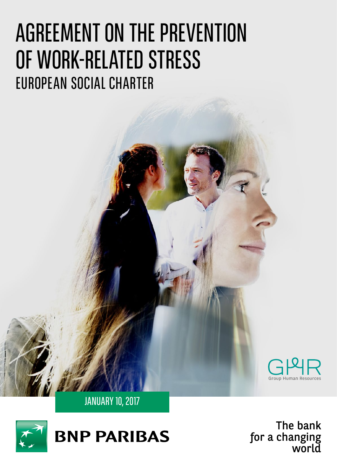# AGREEMENT ON THE PREVENTION<br>OF WORK-RELATED STRESS<br>EUROPEAN SOCIAL CHARTER<br>CONDENSATION CONDENSATION COMPRESS<br>CONDENSATIONS TO THE bank<br>Condensation of the bank<br>special special special special special special special speci OF WORK-RELATED STRESS EUROPEAN SOCIAL CHARTER



Secondary 10, 2017



The bank The bank for a changing world for a changing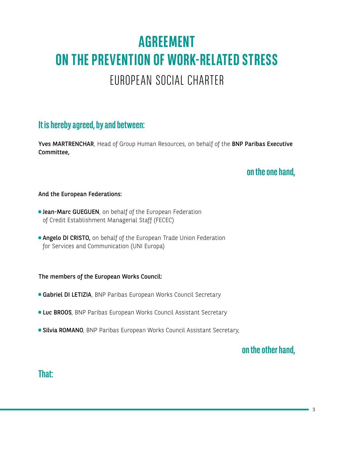## **AGREEMENT ON THE PREVENTION OF WORK-RELATED STRESS** EUROPEAN SOCIAL CHARTER

## **It is hereby agreed, by and between:**

Yves MARTRENCHAR, Head of Group Human Resources, on behalf of the BNP Paribas Executive Committee,

## **on the one hand,**

#### And the European Federations:

- **Dean-Marc GUEGUEN**, on behalf of the European Federation of Credit Establishment Managerial Staff (FECEC)
- **Angelo DI CRISTO, on behalf of the European Trade Union Federation** for Services and Communication (UNI Europa)

#### The members of the European Works Council:

- **Gabriel DI LETIZIA**, BNP Paribas European Works Council Secretary
- **Luc BROOS**, BNP Paribas European Works Council Assistant Secretary
- **Silvia ROMANO**, BNP Paribas European Works Council Assistant Secretary,

#### **on the other hand,**

#### **That:**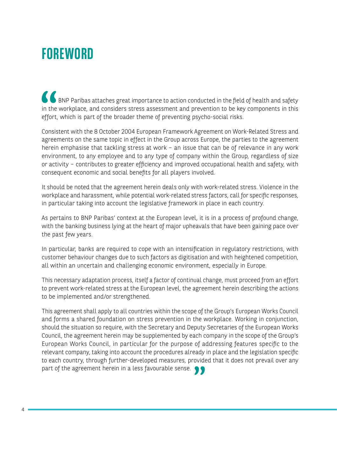# **FOREWORD**

BIMP Paribas attaches great importance to action conducted in the field of health and safety in the workplace, and considers stress assessment and prevention to be key components in this effort, which is part of the broader theme of preventing psycho-social risks.

Consistent with the 8 October 2004 European Framework Agreement on Work-Related Stress and agreements on the same topic in effect in the Group across Europe, the parties to the agreement herein emphasise that tackling stress at work – an issue that can be of relevance in any work environment, to any employee and to any type of company within the Group, regardless of size or activity – contributes to greater efficiency and improved occupational health and safety, with consequent economic and social benefits for all players involved.

It should be noted that the agreement herein deals only with work-related stress. Violence in the workplace and harassment, while potential work-related stress factors, call for specific responses, in particular taking into account the legislative framework in place in each country.

As pertains to BNP Paribas' context at the European level, it is in a process of profound change, with the banking business lying at the heart of major upheavals that have been gaining pace over the past few years.

In particular, banks are required to cope with an intensification in regulatory restrictions, with customer behaviour changes due to such factors as digitisation and with heightened competition, all within an uncertain and challenging economic environment, especially in Europe.

This necessary adaptation process, itself a factor of continual change, must proceed from an effort to prevent work-related stress at the European level, the agreement herein describing the actions to be implemented and/or strengthened.

This agreement shall apply to all countries within the scope of the Group's European Works Council and forms a shared foundation on stress prevention in the workplace. Working in conjunction, should the situation so require, with the Secretary and Deputy Secretaries of the European Works Council, the agreement herein may be supplemented by each company in the scope of the Group's European Works Council, in particular for the purpose of addressing features specific to the relevant company, taking into account the procedures already in place and the legislation specific to each country, through further-developed measures, provided that it does not prevail over any part of the agreement herein in a less favourable sense.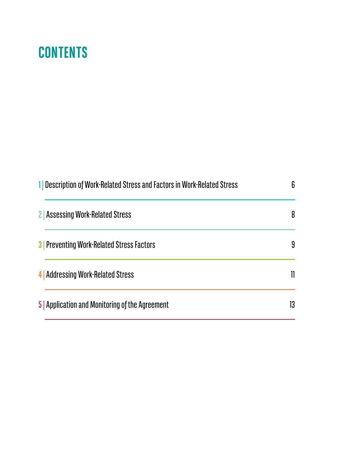## **CONTENTS**

| 1 Description of Work-Related Stress and Factors in Work-Related Stress | 6  |
|-------------------------------------------------------------------------|----|
| 2 Assessing Work-Related Stress                                         | 8  |
| <b>3</b> Preventing Work-Related Stress Factors                         | 9  |
| 4   Addressing Work-Related Stress                                      | 11 |
| <b>5</b> Application and Monitoring of the Agreement                    | 13 |
|                                                                         |    |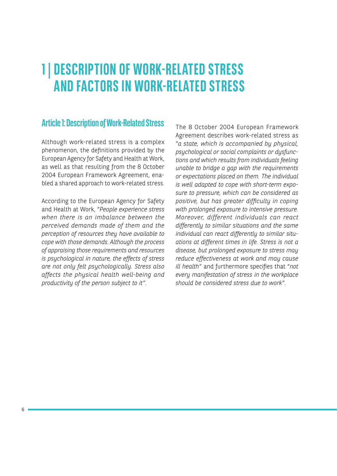## **1 | DESCRIPTION OF WORK-RELATED STRESS AND FACTORS IN WORK-RELATED STRESS**

#### **Article 1: Description of Work-Related Stress**

Although work-related stress is a complex phenomenon, the definitions provided by the European Agency for Safety and Health at Work, as well as that resulting from the 8 October 2004 European Framework Agreement, enabled a shared approach to work-related stress.

According to the European Agency for Safety and Health at Work, "*People experience stress when there is an imbalance between the perceived demands made of them and the perception of resources they have available to cope with those demands. Although the process of appraising those requirements and resources is psychological in nature, the effects of stress are not only felt psychologically. Stress also affects the physical health well-being and productivity of the person subject to it*".

The 8 October 2004 European Framework Agreement describes work-related stress as "*a state, which is accompanied by physical, psychological or social complaints or dysfunctions and which results from individuals feeling unable to bridge a gap with the requirements or expectations placed on them. The individual is well adapted to cope with short-term exposure to pressure, which can be considered as positive, but has greater difficulty in coping with prolonged exposure to intensive pressure. Moreover, different individuals can react differently to similar situations and the same individual can react differently to similar situations at different times in life. Stress is not a disease, but prolonged exposure to stress may reduce effectiveness at work and may cause ill health*" and furthermore specifies that "*not every manifestation of stress in the workplace should be considered stress due to work*".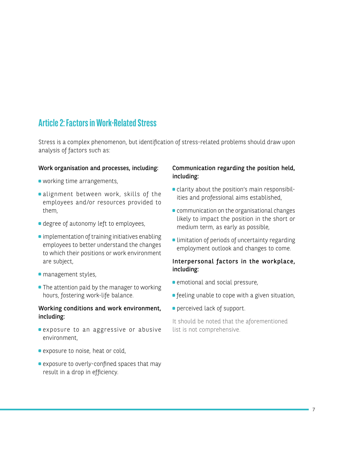## **Article 2: Factors in Work-Related Stress**

Stress is a complex phenomenon, but identification of stress-related problems should draw upon analysis of factors such as:

#### Work organisation and processes, including:

- working time arrangements,
- alignment between work, skills of the employees and/or resources provided to them,
- degree of autonomy left to employees,
- $\bullet$  implementation of training initiatives enabling employees to better understand the changes to which their positions or work environment are subject,
- **management styles,**
- The attention paid by the manager to working hours, fostering work-life balance.

#### Working conditions and work environment, including:

- exposure to an aggressive or abusive environment,
- **exposure to noise, heat or cold,**
- exposure to overly-confined spaces that may result in a drop in efficiency.

#### Communication regarding the position held, including:

- clarity about the position's main responsibilities and professional aims established,
- **communication on the organisational changes** likely to impact the position in the short or medium term, as early as possible,
- **Ilimitation of periods of uncertainty regarding** employment outlook and changes to come.

#### Interpersonal factors in the workplace, including:

- **emotional and social pressure,**
- **•** feeling unable to cope with a given situation,
- **perceived lack of support.**

It should be noted that the aforementioned list is not comprehensive.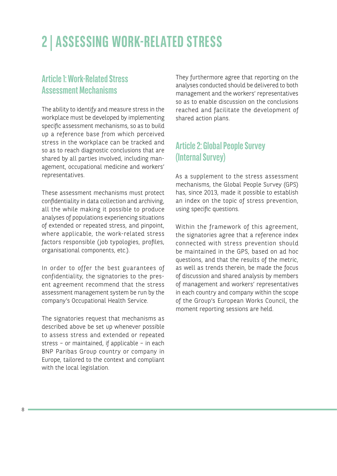# **2 | ASSESSING WORK-RELATED STRESS**

#### **Article 1: Work-Related Stress Assessment Mechanisms**

The ability to identify and measure stress in the workplace must be developed by implementing specific assessment mechanisms, so as to build up a reference base from which perceived stress in the workplace can be tracked and so as to reach diagnostic conclusions that are shared by all parties involved, including management, occupational medicine and workers' representatives.

These assessment mechanisms must protect confidentiality in data collection and archiving, all the while making it possible to produce analyses of populations experiencing situations of extended or repeated stress, and pinpoint, where applicable, the work-related stress factors responsible (job typologies, profiles, organisational components, etc.).

In order to offer the best guarantees of confidentiality, the signatories to the present agreement recommend that the stress assessment management system be run by the company's Occupational Health Service.

The signatories request that mechanisms as described above be set up whenever possible to assess stress and extended or repeated stress – or maintained, if applicable – in each BNP Paribas Group country or company in Europe, tailored to the context and compliant with the local legislation.

They furthermore agree that reporting on the analyses conducted should be delivered to both management and the workers' representatives so as to enable discussion on the conclusions reached and facilitate the development of shared action plans.

## **Article 2: Global People Survey (Internal Survey)**

As a supplement to the stress assessment mechanisms, the Global People Survey (GPS) has, since 2013, made it possible to establish an index on the topic of stress prevention, using specific questions.

Within the framework of this agreement, the signatories agree that a reference index connected with stress prevention should be maintained in the GPS, based on ad hoc questions, and that the results of the metric, as well as trends therein, be made the focus of discussion and shared analysis by members of management and workers' representatives in each country and company within the scope of the Group's European Works Council, the moment reporting sessions are held.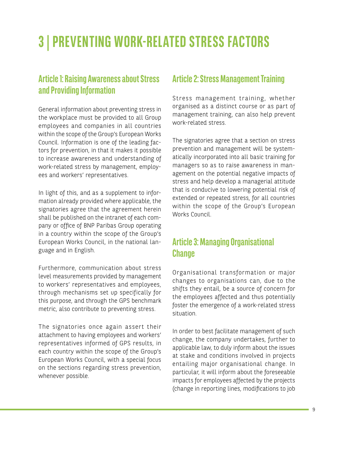# **3 | PREVENTING WORK-RELATED STRESS FACTORS**

#### **Article 1: Raising Awareness about Stress and Providing Information**

General information about preventing stress in the workplace must be provided to all Group employees and companies in all countries within the scope of the Group's European Works Council. Information is one of the leading factors for prevention, in that it makes it possible to increase awareness and understanding of work-related stress by management, employees and workers' representatives.

In light of this, and as a supplement to information already provided where applicable, the signatories agree that the agreement herein shall be published on the intranet of each company or office of BNP Paribas Group operating in a country within the scope of the Group's European Works Council, in the national language and in English.

Furthermore, communication about stress level measurements provided by management to workers' representatives and employees, through mechanisms set up specifically for this purpose, and through the GPS benchmark metric, also contribute to preventing stress.

The signatories once again assert their attachment to having employees and workers' representatives informed of GPS results, in each country within the scope of the Group's European Works Council, with a special focus on the sections regarding stress prevention, whenever possible.

#### **Article 2: Stress Management Training**

Stress management training, whether organised as a distinct course or as part of management training, can also help prevent work-related stress.

The signatories agree that a section on stress prevention and management will be systematically incorporated into all basic training for managers so as to raise awareness in management on the potential negative impacts of stress and help develop a managerial attitude that is conducive to lowering potential risk of extended or repeated stress, for all countries within the scope of the Group's European Works Council.

## **Article 3: Managing Organisational Change**

Organisational transformation or major changes to organisations can, due to the shifts they entail, be a source of concern for the employees affected and thus potentially foster the emergence of a work-related stress situation.

In order to best facilitate management of such change, the company undertakes, further to applicable law, to duly inform about the issues at stake and conditions involved in projects entailing major organisational change. In particular, it will inform about the foreseeable impacts for employees affected by the projects (change in reporting lines, modifications to job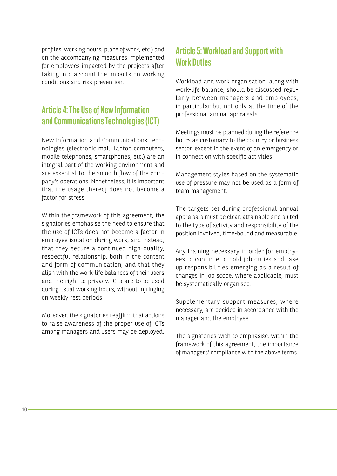profiles, working hours, place of work, etc.) and on the accompanying measures implemented for employees impacted by the projects after taking into account the impacts on working conditions and risk prevention.

## **Article 4: The Use of New Information and Communications Technologies (ICT)**

New Information and Communications Technologies (electronic mail, laptop computers, mobile telephones, smartphones, etc.) are an integral part of the working environment and are essential to the smooth flow of the company's operations. Nonetheless, it is important that the usage thereof does not become a factor for stress.

Within the framework of this agreement, the signatories emphasise the need to ensure that the use of ICTs does not become a factor in employee isolation during work, and instead, that they secure a continued high-quality, respectful relationship, both in the content and form of communication, and that they align with the work-life balances of their users and the right to privacy. ICTs are to be used during usual working hours, without infringing on weekly rest periods.

Moreover, the signatories reaffirm that actions to raise awareness of the proper use of ICTs among managers and users may be deployed.

## **Article 5: Workload and Support with Work Duties**

Workload and work organisation, along with work-life balance, should be discussed regularly between managers and employees, in particular but not only at the time of the professional annual appraisals.

Meetings must be planned during the reference hours as customary to the country or business sector, except in the event of an emergency or in connection with specific activities.

Management styles based on the systematic use of pressure may not be used as a form of team management.

The targets set during professional annual appraisals must be clear, attainable and suited to the type of activity and responsibility of the position involved, time-bound and measurable.

Any training necessary in order for employees to continue to hold job duties and take up responsibilities emerging as a result of changes in job scope, where applicable, must be systematically organised.

Supplementary support measures, where necessary, are decided in accordance with the manager and the employee.

The signatories wish to emphasise, within the framework of this agreement, the importance of managers' compliance with the above terms.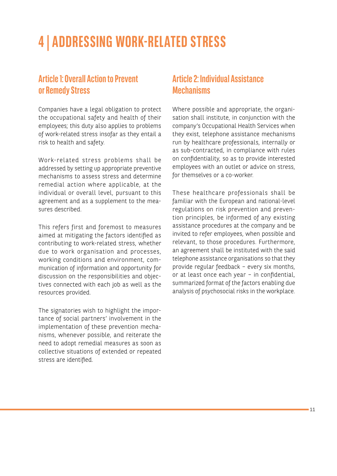# **4 | ADDRESSING WORK-RELATED STRESS**

#### **Article 1: Overall Action to Prevent or Remedy Stress**

Companies have a legal obligation to protect the occupational safety and health of their employees; this duty also applies to problems of work-related stress insofar as they entail a risk to health and safety.

Work-related stress problems shall be addressed by setting up appropriate preventive mechanisms to assess stress and determine remedial action where applicable, at the individual or overall level, pursuant to this agreement and as a supplement to the measures described.

This refers first and foremost to measures aimed at mitigating the factors identified as contributing to work-related stress, whether due to work organisation and processes, working conditions and environment, communication of information and opportunity for discussion on the responsibilities and objectives connected with each job as well as the resources provided.

The signatories wish to highlight the importance of social partners' involvement in the implementation of these prevention mechanisms, whenever possible, and reiterate the need to adopt remedial measures as soon as collective situations of extended or repeated stress are identified.

#### **Article 2: Individual Assistance Mechanisms**

Where possible and appropriate, the organisation shall institute, in conjunction with the company's Occupational Health Services when they exist, telephone assistance mechanisms run by healthcare professionals, internally or as sub-contracted, in compliance with rules on confidentiality, so as to provide interested employees with an outlet or advice on stress, for themselves or a co-worker.

These healthcare professionals shall be familiar with the European and national-level regulations on risk prevention and prevention principles, be informed of any existing assistance procedures at the company and be invited to refer employees, when possible and relevant, to those procedures. Furthermore, an agreement shall be instituted with the said telephone assistance organisations so that they provide regular feedback – every six months, or at least once each year – in confidential, summarized format of the factors enabling due analysis of psychosocial risks in the workplace.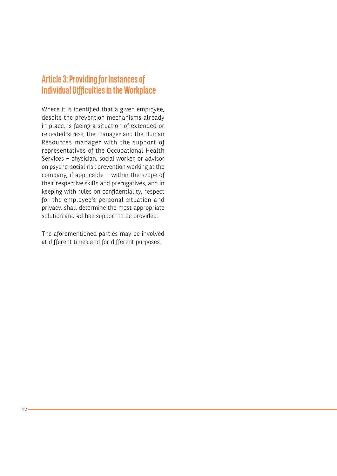## **Article 3: Providing for Instances of Individual Difficulties in the Workplace**

Where it is identified that a given employee, despite the prevention mechanisms already in place, is facing a situation of extended or repeated stress, the manager and the Human Resources manager with the support of representatives of the Occupational Health Services – physician, social worker, or advisor on psycho-social risk prevention working at the company, if applicable – within the scope of their respective skills and prerogatives, and in keeping with rules on confidentiality, respect for the employee's personal situation and privacy, shall determine the most appropriate solution and ad hoc support to be provided.

The aforementioned parties may be involved at different times and for different purposes.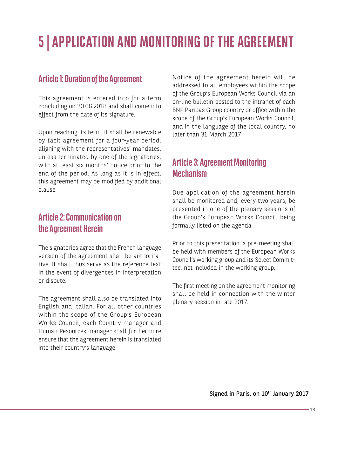# **5 | APPLICATION AND MONITORING OF THE AGREEMENT**

#### **Article 1: Duration of the Agreement**

This agreement is entered into for a term concluding on 30.06.2018 and shall come into effect from the date of its signature.

Upon reaching its term, it shall be renewable by tacit agreement for a four-year period, aligning with the representatives' mandates, unless terminated by one of the signatories, with at least six months' notice prior to the end of the period. As long as it is in effect, this agreement may be modified by additional clause.

#### **Article 2: Communication on the Agreement Herein**

The signatories agree that the French language version of the agreement shall be authoritative. It shall thus serve as the reference text in the event of divergences in interpretation or dispute.

The agreement shall also be translated into English and Italian. For all other countries within the scope of the Group's European Works Council, each Country manager and Human Resources manager shall furthermore ensure that the agreement herein is translated into their country's language.

Notice of the agreement herein will be addressed to all employees within the scope of the Group's European Works Council via an on-line bulletin posted to the intranet of each BNP Paribas Group country or office within the scope of the Group's European Works Council, and in the language of the local country, no later than 31 March 2017.

## **Article 3: Agreement Monitoring Mechanism**

Due application of the agreement herein shall be monitored and, every two years, be presented in one of the plenary sessions of the Group's European Works Council, being formally listed on the agenda.

Prior to this presentation, a pre-meeting shall be held with members of the European Works Council's working group and its Select Committee, not included in the working group.

The first meeting on the agreement monitoring shall be held in connection with the winter plenary session in late 2017.

Signed in Paris, on 10<sup>th</sup> January 2017